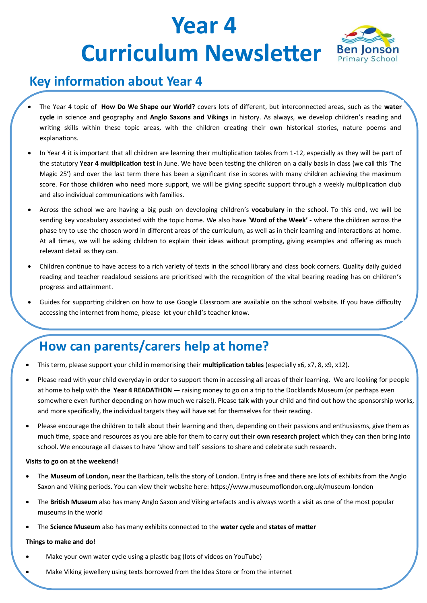## **Year 4 Curriculum Newsletter** Ben Jonson



## **Key information about Year 4**

- The Year 4 topic of **How Do We Shape our World?** covers lots of different, but interconnected areas, such as the **water cycle** in science and geography and **Anglo Saxons and Vikings** in history. As always, we develop children's reading and writing skills within these topic areas, with the children creating their own historical stories, nature poems and explanations.
- In Year 4 it is important that all children are learning their multiplication tables from 1-12, especially as they will be part of the statutory **Year 4 multiplication test** in June. We have been testing the children on a daily basis in class (we call this 'The Magic 25') and over the last term there has been a significant rise in scores with many children achieving the maximum score. For those children who need more support, we will be giving specific support through a weekly multiplication club and also individual communications with families.
- Across the school we are having a big push on developing children's **vocabulary** in the school. To this end, we will be sending key vocabulary associated with the topic home. We also have '**Word of the Week' -** where the children across the phase try to use the chosen word in different areas of the curriculum, as well as in their learning and interactions at home. At all times, we will be asking children to explain their ideas without prompting, giving examples and offering as much relevant detail as they can.
- Children continue to have access to a rich variety of texts in the school library and class book corners. Quality daily guided reading and teacher readaloud sessions are prioritised with the recognition of the vital bearing reading has on children's progress and attainment.
- Guides for supporting children on how to use Google Classroom are available on the school website. If you have difficulty accessing the internet from home, please let your child's teacher know.

### **How can parents/carers help at home?**

- This term, please support your child in memorising their **multiplication tables** (especially x6, x7, 8, x9, x12).
- Please read with your child everyday in order to support them in accessing all areas of their learning. We are looking for people at home to help with the **Year 4 READATHON —** raising money to go on a trip to the Docklands Museum (or perhaps even somewhere even further depending on how much we raise!). Please talk with your child and find out how the sponsorship works, and more specifically, the individual targets they will have set for themselves for their reading.
- Please encourage the children to talk about their learning and then, depending on their passions and enthusiasms, give them as much time, space and resources as you are able for them to carry out their **own research project** which they can then bring into school. We encourage all classes to have 'show and tell' sessions to share and celebrate such research.

#### **Visits to go on at the weekend!**

- The **Museum of London,** near the Barbican, tells the story of London. Entry is free and there are lots of exhibits from the Anglo Saxon and Viking periods. You can view their website here: https://www.museumoflondon.org.uk/museum-london
- The **British Museum** also has many Anglo Saxon and Viking artefacts and is always worth a visit as one of the most popular museums in the world
- The **Science Museum** also has many exhibits connected to the **water cycle** and **states of matter**

#### **Things to make and do!**

- Make your own water cycle using a plastic bag (lots of videos on YouTube)
- Make Viking jewellery using texts borrowed from the Idea Store or from the internet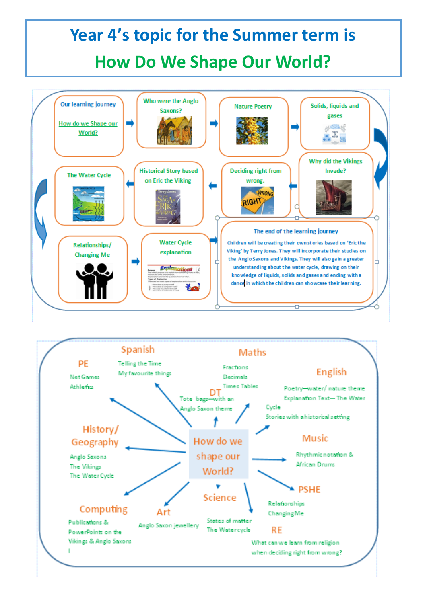# **Year 4's topic for the Summer term is**

## **How Do We Shape Our World?**